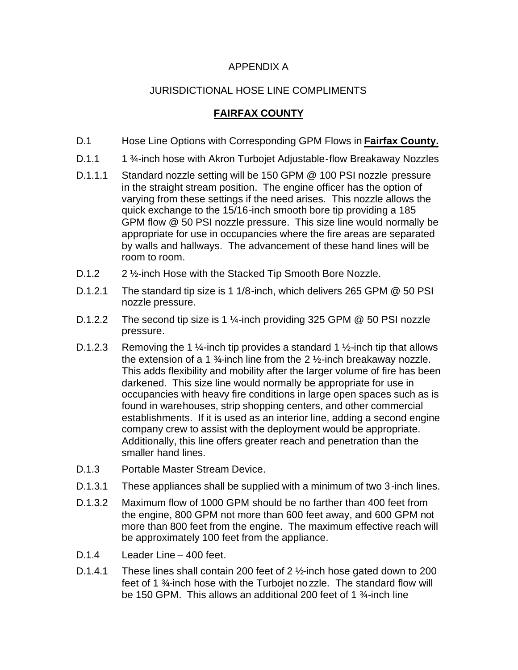## APPENDIX A

## JURISDICTIONAL HOSE LINE COMPLIMENTS

## **FAIRFAX COUNTY**

- D.1 Hose Line Options with Corresponding GPM Flows in **Fairfax County.**
- D.1.1 1 <sup>3</sup>/<sub>4</sub>-inch hose with Akron Turbojet Adjustable-flow Breakaway Nozzles
- D.1.1.1 Standard nozzle setting will be 150 GPM @ 100 PSI nozzle pressure in the straight stream position. The engine officer has the option of varying from these settings if the need arises. This nozzle allows the quick exchange to the 15/16-inch smooth bore tip providing a 185 GPM flow @ 50 PSI nozzle pressure. This size line would normally be appropriate for use in occupancies where the fire areas are separated by walls and hallways. The advancement of these hand lines will be room to room.
- D.1.2 2 <sup>1</sup>/<sub>2</sub>-inch Hose with the Stacked Tip Smooth Bore Nozzle.
- D.1.2.1 The standard tip size is 1 1/8-inch, which delivers 265 GPM @ 50 PSI nozzle pressure.
- D.1.2.2 The second tip size is 1 1/<sub>4</sub>-inch providing 325 GPM @ 50 PSI nozzle pressure.
- D.1.2.3 Removing the 1 %-inch tip provides a standard 1 %-inch tip that allows the extension of a 1  $\frac{3}{4}$ -inch line from the 2  $\frac{1}{2}$ -inch breakaway nozzle. This adds flexibility and mobility after the larger volume of fire has been darkened. This size line would normally be appropriate for use in occupancies with heavy fire conditions in large open spaces such as is found in warehouses, strip shopping centers, and other commercial establishments. If it is used as an interior line, adding a second engine company crew to assist with the deployment would be appropriate. Additionally, this line offers greater reach and penetration than the smaller hand lines.
- D.1.3 Portable Master Stream Device.
- D.1.3.1 These appliances shall be supplied with a minimum of two 3-inch lines.
- D.1.3.2 Maximum flow of 1000 GPM should be no farther than 400 feet from the engine, 800 GPM not more than 600 feet away, and 600 GPM not more than 800 feet from the engine. The maximum effective reach will be approximately 100 feet from the appliance.
- D.1.4 Leader Line 400 feet.
- D.1.4.1 These lines shall contain 200 feet of 2 1/<sub>2</sub>-inch hose gated down to 200 feet of 1 ¾-inch hose with the Turbojet nozzle. The standard flow will be 150 GPM. This allows an additional 200 feet of 1 <sup>3</sup>/<sub>4</sub>-inch line